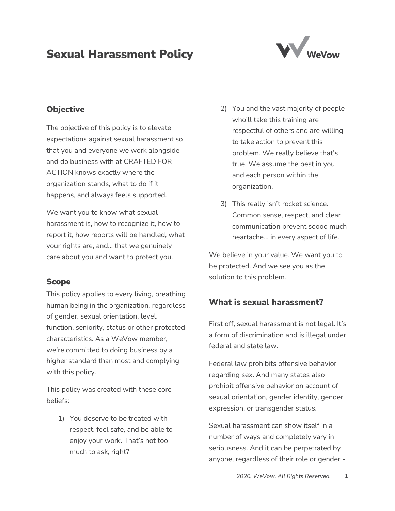# Sexual Harassment Policy



## **Objective**

The objective of this policy is to elevate expectations against sexual harassment so that you and everyone we work alongside and do business with at CRAFTED FOR ACTION knows exactly where the organization stands, what to do if it happens, and always feels supported.

We want you to know what sexual harassment is, how to recognize it, how to report it, how reports will be handled, what your rights are, and… that we genuinely care about you and want to protect you.

## Scope

This policy applies to every living, breathing human being in the organization, regardless of gender, sexual orientation, level, function, seniority, status or other protected characteristics. As a WeVow member, we're committed to doing business by a higher standard than most and complying with this policy.

This policy was created with these core beliefs:

1) You deserve to be treated with respect, feel safe, and be able to enjoy your work. That's not too much to ask, right?

- 2) You and the vast majority of people who'll take this training are respectful of others and are willing to take action to prevent this problem. We really believe that's true. We assume the best in you and each person within the organization.
- 3) This really isn't rocket science. Common sense, respect, and clear communication prevent soooo much heartache… in every aspect of life.

We believe in your value. We want you to be protected. And we see you as the solution to this problem.

## What is sexual harassment?

First off, sexual harassment is not legal. It's a form of discrimination and is illegal under federal and state law.

Federal law prohibits offensive behavior regarding sex. And many states also prohibit offensive behavior on account of sexual orientation, gender identity, gender expression, or transgender status.

Sexual harassment can show itself in a number of ways and completely vary in seriousness. And it can be perpetrated by anyone, regardless of their role or gender -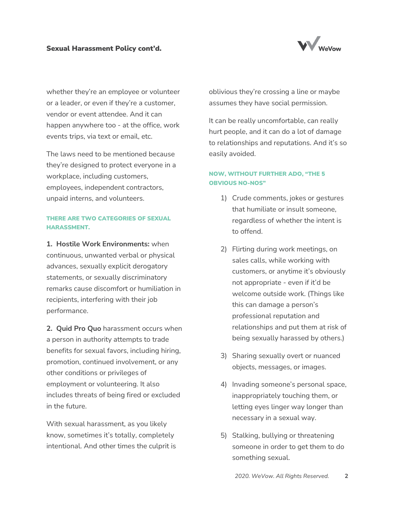

whether they're an employee or volunteer or a leader, or even if they're a customer, vendor or event attendee. And it can happen anywhere too - at the office, work events trips, via text or email, etc.

The laws need to be mentioned because they're designed to protect everyone in a workplace, including customers, employees, independent contractors, unpaid interns, and volunteers.

#### THERE ARE TWO CATEGORIES OF SEXUAL HARASSMENT.

**1. Hostile Work Environments:** when continuous, unwanted verbal or physical advances, sexually explicit derogatory statements, or sexually discriminatory remarks cause discomfort or humiliation in recipients, interfering with their job performance.

**2. Quid Pro Quo** harassment occurs when a person in authority attempts to trade benefits for sexual favors, including hiring, promotion, continued involvement, or any other conditions or privileges of employment or volunteering. It also includes threats of being fired or excluded in the future.

With sexual harassment, as you likely know, sometimes it's totally, completely intentional. And other times the culprit is oblivious they're crossing a line or maybe assumes they have social permission.

It can be really uncomfortable, can really hurt people, and it can do a lot of damage to relationships and reputations. And it's so easily avoided.

### NOW, WITHOUT FURTHER ADO, "THE 5 OBVIOUS NO-NOS"

- 1) Crude comments, jokes or gestures that humiliate or insult someone, regardless of whether the intent is to offend.
- 2) Flirting during work meetings, on sales calls, while working with customers, or anytime it's obviously not appropriate - even if it'd be welcome outside work. (Things like this can damage a person's professional reputation and relationships and put them at risk of being sexually harassed by others.)
- 3) Sharing sexually overt or nuanced objects, messages, or images.
- 4) Invading someone's personal space, inappropriately touching them, or letting eyes linger way longer than necessary in a sexual way.
- 5) Stalking, bullying or threatening someone in order to get them to do something sexual.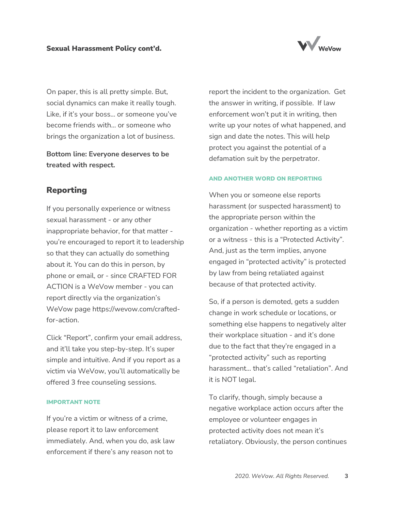

On paper, this is all pretty simple. But, social dynamics can make it really tough. Like, if it's your boss… or someone you've become friends with… or someone who brings the organization a lot of business.

**Bottom line: Everyone deserves to be treated with respect.**

## Reporting

If you personally experience or witness sexual harassment - or any other inappropriate behavior, for that matter you're encouraged to report it to leadership so that they can actually do something about it. You can do this in person, by phone or email, or - since CRAFTED FOR ACTION is a WeVow member - you can report directly via the organization's WeVow page https://wevow.com/craftedfor-action.

Click "Report", confirm your email address, and it'll take you step-by-step. It's super simple and intuitive. And if you report as a victim via WeVow, you'll automatically be offered 3 free counseling sessions.

#### IMPORTANT NOTE

If you're a victim or witness of a crime, please report it to law enforcement immediately. And, when you do, ask law enforcement if there's any reason not to

report the incident to the organization. Get the answer in writing, if possible. If law enforcement won't put it in writing, then write up your notes of what happened, and sign and date the notes. This will help protect you against the potential of a defamation suit by the perpetrator.

#### AND ANOTHER WORD ON REPORTING

When you or someone else reports harassment (or suspected harassment) to the appropriate person within the organization - whether reporting as a victim or a witness - this is a "Protected Activity". And, just as the term implies, anyone engaged in "protected activity" is protected by law from being retaliated against because of that protected activity.

So, if a person is demoted, gets a sudden change in work schedule or locations, or something else happens to negatively alter their workplace situation - and it's done due to the fact that they're engaged in a "protected activity" such as reporting harassment... that's called "retaliation". And it is NOT legal.

To clarify, though, simply because a negative workplace action occurs after the employee or volunteer engages in protected activity does not mean it's retaliatory. Obviously, the person continues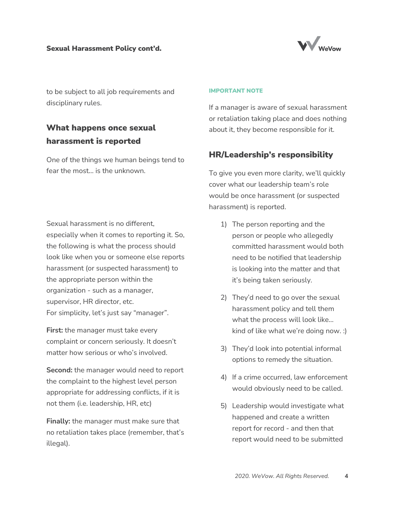

to be subject to all job requirements and disciplinary rules.

## What happens once sexual harassment is reported

One of the things we human beings tend to fear the most… is the unknown.

Sexual harassment is no different, especially when it comes to reporting it. So, the following is what the process should look like when you or someone else reports harassment (or suspected harassment) to the appropriate person within the organization - such as a manager, supervisor, HR director, etc. For simplicity, let's just say "manager".

**First:** the manager must take every complaint or concern seriously. It doesn't matter how serious or who's involved.

**Second:** the manager would need to report the complaint to the highest level person appropriate for addressing conflicts, if it is not them (i.e. leadership, HR, etc)

**Finally:** the manager must make sure that no retaliation takes place (remember, that's illegal).

#### IMPORTANT NOTE

If a manager is aware of sexual harassment or retaliation taking place and does nothing about it, they become responsible for it.

### HR/Leadership's responsibility

To give you even more clarity, we'll quickly cover what our leadership team's role would be once harassment (or suspected harassment) is reported.

- 1) The person reporting and the person or people who allegedly committed harassment would both need to be notified that leadership is looking into the matter and that it's being taken seriously.
- 2) They'd need to go over the sexual harassment policy and tell them what the process will look like… kind of like what we're doing now. :)
- 3) They'd look into potential informal options to remedy the situation.
- 4) If a crime occurred, law enforcement would obviously need to be called.
- 5) Leadership would investigate what happened and create a written report for record - and then that report would need to be submitted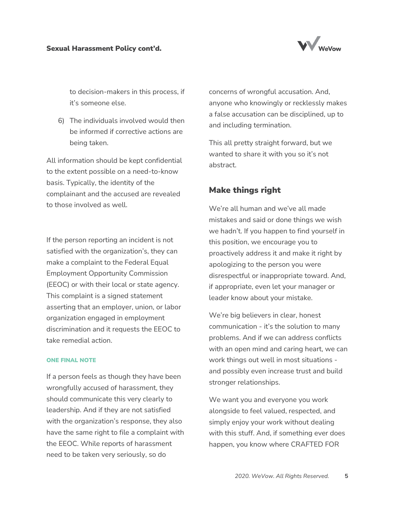

to decision-makers in this process, if it's someone else.

6) The individuals involved would then be informed if corrective actions are being taken.

All information should be kept confidential to the extent possible on a need-to-know basis. Typically, the identity of the complainant and the accused are revealed to those involved as well.

If the person reporting an incident is not satisfied with the organization's, they can make a complaint to the Federal Equal Employment Opportunity Commission (EEOC) or with their local or state agency. This complaint is a signed statement asserting that an employer, union, or labor organization engaged in employment discrimination and it requests the EEOC to take remedial action.

#### ONE FINAL NOTE

If a person feels as though they have been wrongfully accused of harassment, they should communicate this very clearly to leadership. And if they are not satisfied with the organization's response, they also have the same right to file a complaint with the EEOC. While reports of harassment need to be taken very seriously, so do

concerns of wrongful accusation. And, anyone who knowingly or recklessly makes a false accusation can be disciplined, up to and including termination.

This all pretty straight forward, but we wanted to share it with you so it's not abstract.

### Make things right

We're all human and we've all made mistakes and said or done things we wish we hadn't. If you happen to find yourself in this position, we encourage you to proactively address it and make it right by apologizing to the person you were disrespectful or inappropriate toward. And, if appropriate, even let your manager or leader know about your mistake.

We're big believers in clear, honest communication - it's the solution to many problems. And if we can address conflicts with an open mind and caring heart, we can work things out well in most situations and possibly even increase trust and build stronger relationships.

We want you and everyone you work alongside to feel valued, respected, and simply enjoy your work without dealing with this stuff. And, if something ever does happen, you know where CRAFTED FOR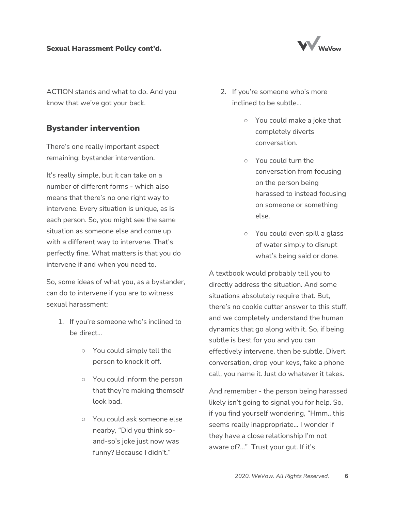

ACTION stands and what to do. And you know that we've got your back.

## Bystander intervention

There's one really important aspect remaining: bystander intervention.

It's really simple, but it can take on a number of different forms - which also means that there's no one right way to intervene. Every situation is unique, as is each person. So, you might see the same situation as someone else and come up with a different way to intervene. That's perfectly fine. What matters is that you do intervene if and when you need to.

So, some ideas of what you, as a bystander, can do to intervene if you are to witness sexual harassment:

- 1. If you're someone who's inclined to be direct...
	- You could simply tell the person to knock it off.
	- You could inform the person that they're making themself look bad.
	- You could ask someone else nearby, "Did you think soand-so's joke just now was funny? Because I didn't."
- 2. If you're someone who's more inclined to be subtle...
	- You could make a joke that completely diverts conversation.
	- You could turn the conversation from focusing on the person being harassed to instead focusing on someone or something else.
	- You could even spill a glass of water simply to disrupt what's being said or done.

A textbook would probably tell you to directly address the situation. And some situations absolutely require that. But, there's no cookie cutter answer to this stuff, and we completely understand the human dynamics that go along with it. So, if being subtle is best for you and you can effectively intervene, then be subtle. Divert conversation, drop your keys, fake a phone call, you name it. Just do whatever it takes.

And remember - the person being harassed likely isn't going to signal you for help. So, if you find yourself wondering, "Hmm.. this seems really inappropriate… I wonder if they have a close relationship I'm not aware of?..." Trust your gut. If it's